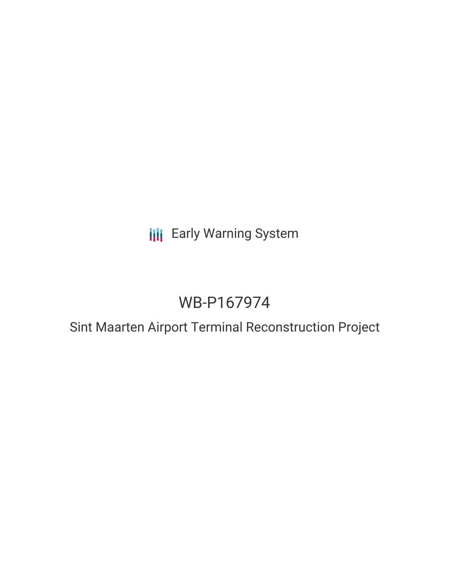**III** Early Warning System

# WB-P167974

Sint Maarten Airport Terminal Reconstruction Project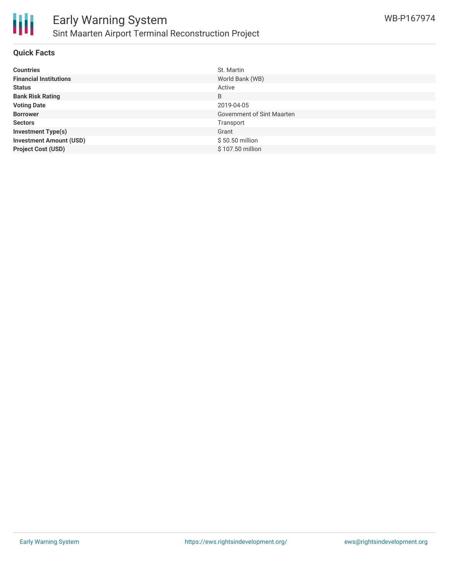

#### **Quick Facts**

| <b>Countries</b>               | St. Martin                        |
|--------------------------------|-----------------------------------|
| <b>Financial Institutions</b>  | World Bank (WB)                   |
| <b>Status</b>                  | Active                            |
| <b>Bank Risk Rating</b>        | B                                 |
| <b>Voting Date</b>             | 2019-04-05                        |
| <b>Borrower</b>                | <b>Government of Sint Maarten</b> |
| <b>Sectors</b>                 | Transport                         |
| <b>Investment Type(s)</b>      | Grant                             |
| <b>Investment Amount (USD)</b> | \$50.50 million                   |
| <b>Project Cost (USD)</b>      | \$107.50 million                  |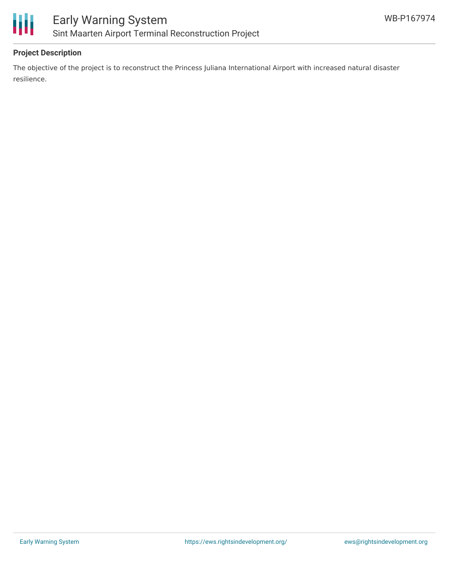



## **Project Description**

The objective of the project is to reconstruct the Princess Juliana International Airport with increased natural disaster resilience.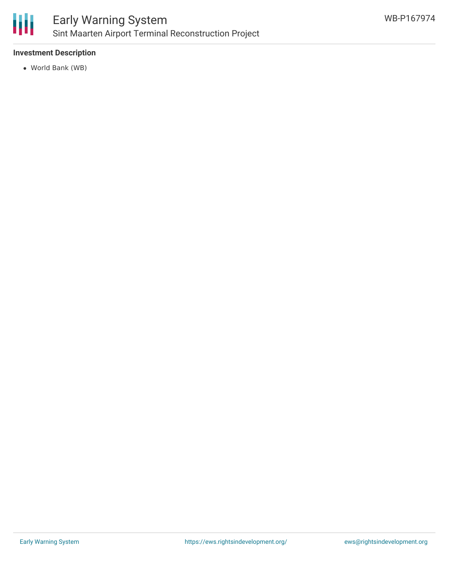

## **Investment Description**

World Bank (WB)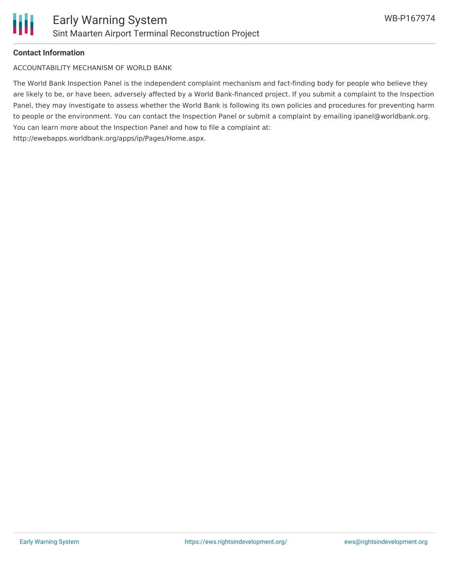

#### **Contact Information**

ACCOUNTABILITY MECHANISM OF WORLD BANK

The World Bank Inspection Panel is the independent complaint mechanism and fact-finding body for people who believe they are likely to be, or have been, adversely affected by a World Bank-financed project. If you submit a complaint to the Inspection Panel, they may investigate to assess whether the World Bank is following its own policies and procedures for preventing harm to people or the environment. You can contact the Inspection Panel or submit a complaint by emailing ipanel@worldbank.org. You can learn more about the Inspection Panel and how to file a complaint at: http://ewebapps.worldbank.org/apps/ip/Pages/Home.aspx.